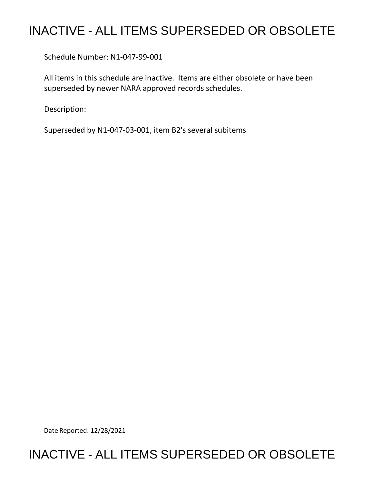# INACTIVE - ALL ITEMS SUPERSEDED OR OBSOLETE

Schedule Number: N1-047-99-001

 All items in this schedule are inactive. Items are either obsolete or have been superseded by newer NARA approved records schedules.

Description:

Superseded by N1-047-03-001, item B2's several subitems

Date Reported: 12/28/2021

## INACTIVE - ALL ITEMS SUPERSEDED OR OBSOLETE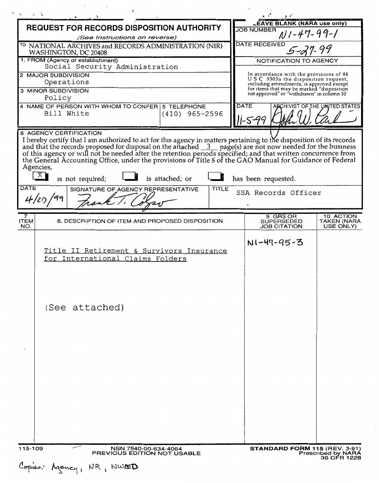|                                                                                                                                                                                                                                                                                                                                                                                                                                                                                                                                                                    | $\mathbf{r}$                                                                                                              |
|--------------------------------------------------------------------------------------------------------------------------------------------------------------------------------------------------------------------------------------------------------------------------------------------------------------------------------------------------------------------------------------------------------------------------------------------------------------------------------------------------------------------------------------------------------------------|---------------------------------------------------------------------------------------------------------------------------|
| <b>REQUEST FOR RECORDS DISPOSITION AUTHORITY</b>                                                                                                                                                                                                                                                                                                                                                                                                                                                                                                                   | <b>LEAVE BLANK (NARA use only)</b><br><b>JOB NUMBER</b>                                                                   |
| (See Instructions on reverse)                                                                                                                                                                                                                                                                                                                                                                                                                                                                                                                                      | 111-47-99-1                                                                                                               |
| <sup>TO</sup> NATIONAL ARCHIVES and RECORDS ADMINISTRATION (NIR)<br>WASHINGTON, DC 20408                                                                                                                                                                                                                                                                                                                                                                                                                                                                           | <b>DATE RECEIVED</b>                                                                                                      |
| 1. FROM (Agency or establishment)<br>Social Security Administration                                                                                                                                                                                                                                                                                                                                                                                                                                                                                                | <b>NOTIFICATION TO AGENCY</b>                                                                                             |
| 2 MAJOR SUBDIVISION<br>Operations                                                                                                                                                                                                                                                                                                                                                                                                                                                                                                                                  | In accordance with the provisions of 44<br>USC 3303a the disposition request,<br>including amendments, is approved except |
| 3 MINOR SUBDIVISION<br>Policy                                                                                                                                                                                                                                                                                                                                                                                                                                                                                                                                      | for items that may be marked "disposition<br>not approved" or "withdrawn" in column 10                                    |
| 4 NAME OF PERSON WITH WHOM TO CONFER 5 TELEPHONE<br>Bill White<br>$(410)$ 965-2596                                                                                                                                                                                                                                                                                                                                                                                                                                                                                 | <b>DATE</b><br>ARCHIVIST OF THE UNITED STATES                                                                             |
| 6 AGENCY CERTIFICATION<br>I hereby certify that I am authorized to act for this agency in matters pertaining to the disposition of its records<br>and that the records proposed for disposal on the attached 3 page(s) are not now needed for the business<br>of this agency or will not be needed after the retention periods specified; and that written concurrence from<br>the Gen<br>Agencies,<br>X<br>has been requested.<br>is not required;<br>is attached; or<br><b>DATE</b><br><b>TITLE</b><br>SIGNATURE OF AGENCY REPRESENTATIVE<br>SSA Records Officer |                                                                                                                           |
|                                                                                                                                                                                                                                                                                                                                                                                                                                                                                                                                                                    |                                                                                                                           |
| 7<br>8. DESCRIPTION OF ITEM AND PROPOSED DISPOSITION<br><b>ITEM</b><br>NO.                                                                                                                                                                                                                                                                                                                                                                                                                                                                                         | 9 GRS OR<br>10 ACTION<br>TAKEN (NARA<br><b>SUPERSEDED</b><br><b>JOB CITATION</b><br>USE ONLY)                             |
| Title II Retirement & Survivors Insurance<br>for International Claims Folders<br>(See attached)                                                                                                                                                                                                                                                                                                                                                                                                                                                                    | N1-47-95-3                                                                                                                |
| 115-109<br>NSN 7540-00-634-4064<br>PREVIOUS EDITION NOT USABLE                                                                                                                                                                                                                                                                                                                                                                                                                                                                                                     | <b>STANDARD FORM 115 (REV. 3-91)</b><br><b>Prescribed by NARA</b>                                                         |
| Copies: Agency,<br>NR, NWMD                                                                                                                                                                                                                                                                                                                                                                                                                                                                                                                                        | 36 CFR 1228                                                                                                               |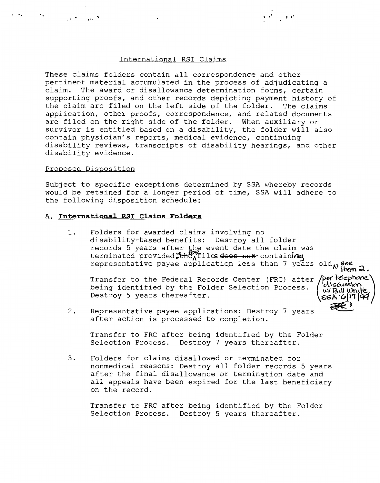## International RSI Claims

·, ·-

These claims folders contain all correspondence and other pertinent material accumulated in the process of adjudicating a claim. The award or disallowance determination forms, certain supporting proofs, and other records depicting payment history of the claim are filed on the left side of the folder. The claims application, other proofs, correspondence, and related documents are filed on the right side of the folder. When auxiliary or survivor is entitled based on a disability, the folder will also contain physician's reports, medical evidence, continuing disability reviews, transcripts of disability hearings, and other disability evidence.

#### Proposed Disposition

Subject to specific exceptions determined by SSA whereby records would be retained for a longer period of time, SSA will adhere to the following disposition schedule:

#### A. **International RSI Claims Folders**

1. Folders for awarded claims involving no disability-based benefits: Destroy all folder records 5 years after the event date the claim was terminated provided. the files does now containing representative payee application less than 7 years old<sub>N</sub> see

Transfer to the Federal Records Center (FRC) after **/per telephone.**<br>being identified by the Folder Selection Process. **W**/Bulwnie Destroy 5 years thereafter.



2. after action is processed to completion. Destroy 5 years thereatter.<br>Representative payee applications: Destroy 7 years  $\overbrace{\mathcal{R}^{\mathbb{C}}}^{\text{SSA}}$ 

Transfer to FRC after being identified by the Folder Selection Process. Destroy 7 years thereafter.

3. Folders for claims disallowed or terminated for nonmedical reasons: Destroy all folder records 5 years after the final disallowance or termination date and all appeals have been expired for the last beneficiary on the record.

Transfer to FRC after being identified by the Folder Selection Process. Destroy 5 years thereafter.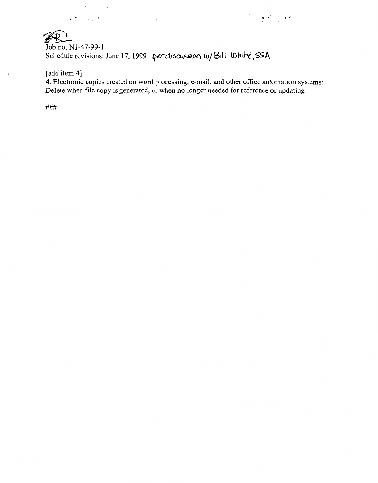$R_{\text{Job no. N1-47-99-1}}$ Schedule revisions: June 17, 1999 per discussion w/ Bill White, SSA

 $\ddot{\phantom{0}}$ 

[add item 4]

 $\overline{a}$ 

 $\bar{.}$ 

4. Electronic copies created on word processing, e-mail, and other office automation systems: Delete when file copy is generated, or when no longer needed for reference or updating

• I ' *I* I ,'

###

 $\cdot$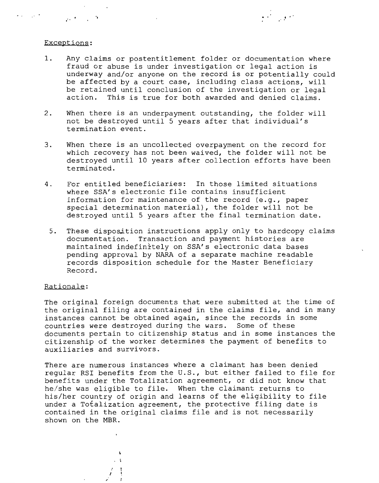### Exceptions:

 $\mathcal{L}(\mathcal{A})$  and  $\mathcal{A}(\mathcal{A})$ 

العامل المراج

1. Any claims or postentitlement folder or documentation where fraud or abuse is under investigation or legal action is underway and/or anyone on the record is or potentially could be affected by a court case, including class actions, will be retained until conclusion of the investigation or legal action. This is true for both awarded and denied claims.

.  $\mathcal{F} = \mathcal{F} \mathcal{F}$ 

- 2. When there is an underpayment outstanding, the folder will not be destroyed until 5 years after that individual's termination event.
- 3. When there is an uncollected overpayment on the record for which recovery has not been waived, the folder will not be destroyed until 10 years after collection efforts have been terminated.
- 4. For entitled beneficiaries: In those limited situations where SSA's electronic file contains insufficient information for maintenance of the record (e.g., paper special determination material), the folder will not be destroyed until 5 years after the final termination date.
	- 5. These disposition instructions apply only to hardcopy claims documentation. Transaction and payment histories are maintained indefinitely on SSA's electronic data bases pending approval by NARA of a separate machine readable records disposition schedule for the Master Beneficiary Record.

## Rationale:

The original foreign documents that were submitted at the time of the original filing are contained in the claims file, and in many instances cannot be obtained again, since the records in some countries were destroyed during the wars. Some of these documents pertain to citizenship status and in some instances the citizenship of the worker determines the payment of benefits to auxiliaries and survivors.

There are numerous instances where a claimant has been denied regular RSI benefits from the U.S., but either failed to file for benefits under the Totalization agreement, or did not know that he/she was eligible to file. When the claimant returns to his/her country of origin and learns of the eligibility to file under a Totalization agreement, the protective filing date is contained in the original claims file and is not necessarily shown on the MBR.